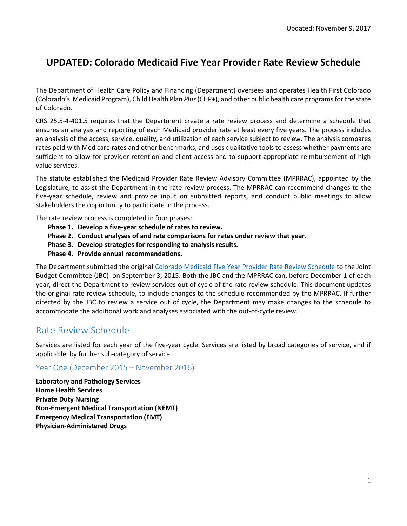# **UPDATED: Colorado Medicaid Five Year Provider Rate Review Schedule**

The Department of Health Care Policy and Financing (Department) oversees and operates Health First Colorado (Colorado's Medicaid Program), Child Health Plan *Plus*(CHP+), and other public health care programs for the state of Colorado.

CRS 25.5-4-401.5 requires that the Department create a rate review process and determine a schedule that ensures an analysis and reporting of each Medicaid provider rate at least every five years. The process includes an analysis of the access, service, quality, and utilization of each service subject to review. The analysis compares rates paid with Medicare rates and other benchmarks, and uses qualitative tools to assess whether payments are sufficient to allow for provider retention and client access and to support appropriate reimbursement of high value services.

The statute established the Medicaid Provider Rate Review Advisory Committee (MPRRAC), appointed by the Legislature, to assist the Department in the rate review process. The MPRRAC can recommend changes to the five-year schedule, review and provide input on submitted reports, and conduct public meetings to allow stakeholders the opportunity to participate in the process.

The rate review process is completed in four phases:

- **Phase 1. Develop a five-year schedule of rates to review.**
- **Phase 2. Conduct analyses of and rate comparisons for rates under review that year.**
- **Phase 3. Develop strategies for responding to analysis results.**
- **Phase 4. Provide annual recommendations.**

The Department submitted the original [Colorado Medicaid Five Year Provider Rate Review Schedule](https://www.colorado.gov/pacific/sites/default/files/Medicaid%20Provider%20Rate%20Review%20Schedule%20October%202015.pdf) to the Joint Budget Committee (JBC) on September 3, 2015. Both the JBC and the MPRRAC can, before December 1 of each year, direct the Department to review services out of cycle of the rate review schedule. This document updates the original rate review schedule, to include changes to the schedule recommended by the MPRRAC. If further directed by the JBC to review a service out of cycle, the Department may make changes to the schedule to accommodate the additional work and analyses associated with the out-of-cycle review.

# Rate Review Schedule

Services are listed for each year of the five-year cycle. Services are listed by broad categories of service, and if applicable, by further sub-category of service.

### Year One (December 2015 – November 2016)

**Laboratory and Pathology Services Home Health Services Private Duty Nursing Non-Emergent Medical Transportation (NEMT) Emergency Medical Transportation (EMT) Physician-Administered Drugs**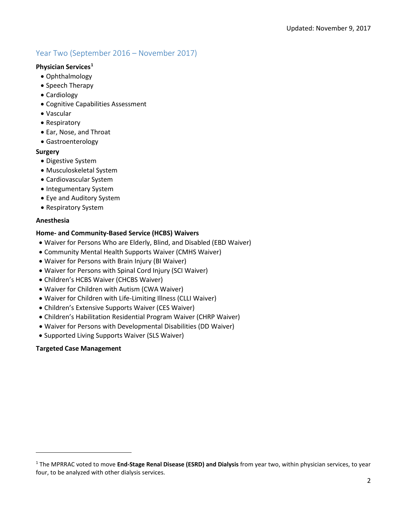## Year Two (September 2016 – November 2017)

#### **Physician Services[1](#page-1-0)**

- Ophthalmology
- Speech Therapy
- Cardiology
- Cognitive Capabilities Assessment
- Vascular
- Respiratory
- Ear, Nose, and Throat
- Gastroenterology

## **Surgery**

- Digestive System
- Musculoskeletal System
- Cardiovascular System
- Integumentary System
- Eye and Auditory System
- Respiratory System

### **Anesthesia**

 $\overline{\phantom{a}}$ 

## **Home- and Community-Based Service (HCBS) Waivers**

- Waiver for Persons Who are Elderly, Blind, and Disabled (EBD Waiver)
- Community Mental Health Supports Waiver (CMHS Waiver)
- Waiver for Persons with Brain Injury (BI Waiver)
- Waiver for Persons with Spinal Cord Injury (SCI Waiver)
- Children's HCBS Waiver (CHCBS Waiver)
- Waiver for Children with Autism (CWA Waiver)
- Waiver for Children with Life-Limiting Illness (CLLI Waiver)
- Children's Extensive Supports Waiver (CES Waiver)
- Children's Habilitation Residential Program Waiver (CHRP Waiver)
- Waiver for Persons with Developmental Disabilities (DD Waiver)
- Supported Living Supports Waiver (SLS Waiver)

## **Targeted Case Management**

<span id="page-1-0"></span><sup>1</sup> The MPRRAC voted to move **End-Stage Renal Disease (ESRD) and Dialysis** from year two, within physician services, to year four, to be analyzed with other dialysis services.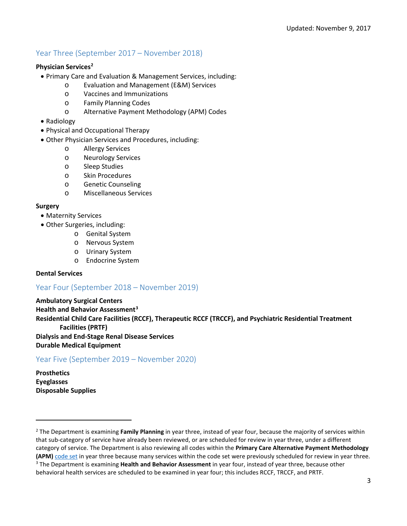## Year Three (September 2017 – November 2018)

#### **Physician Services[2](#page-2-0)**

- Primary Care and Evaluation & Management Services, including:
	- o Evaluation and Management (E&M) Services
	- o Vaccines and Immunizations
	- o Family Planning Codes
	- o Alternative Payment Methodology (APM) Codes
- Radiology
- Physical and Occupational Therapy
- Other Physician Services and Procedures, including:
	- o Allergy Services
	- o Neurology Services
	- o Sleep Studies
	- o Skin Procedures
	- o Genetic Counseling
	- o Miscellaneous Services

#### **Surgery**

- Maternity Services
- Other Surgeries, including:
	- o Genital System
	- o Nervous System
	- o Urinary System
	- o Endocrine System

#### **Dental Services**

## Year Four (September 2018 – November 2019)

**Ambulatory Surgical Centers Health and Behavior Assessment[3](#page-2-1) Residential Child Care Facilities (RCCF), Therapeutic RCCF (TRCCF), and Psychiatric Residential Treatment Facilities (PRTF) Dialysis and End-Stage Renal Disease Services Durable Medical Equipment**

## Year Five (September 2019 – November 2020)

**Prosthetics Eyeglasses Disposable Supplies**

l

<span id="page-2-0"></span><sup>2</sup> The Department is examining **Family Planning** in year three, instead of year four, because the majority of services within that sub-category of service have already been reviewed, or are scheduled for review in year three, under a different category of service. The Department is also reviewing all codes within the **Primary Care Alternative Payment Methodology (APM)** [code set](https://www.colorado.gov/pacific/hcpf/primary-care-payment-reform-3) in year three because many services within the code set were previously scheduled for review in year three. <sup>3</sup> The Department is examining **Health and Behavior Assessment** in year four, instead of year three, because other

<span id="page-2-1"></span>behavioral health services are scheduled to be examined in year four; this includes RCCF, TRCCF, and PRTF.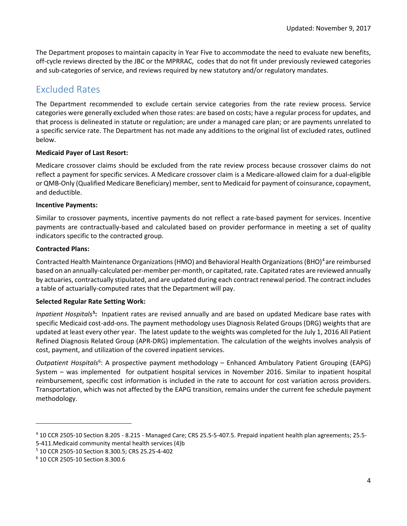The Department proposes to maintain capacity in Year Five to accommodate the need to evaluate new benefits, off-cycle reviews directed by the JBC or the MPRRAC, codes that do not fit under previously reviewed categories and sub-categories of service, and reviews required by new statutory and/or regulatory mandates.

# Excluded Rates

The Department recommended to exclude certain service categories from the rate review process. Service categories were generally excluded when those rates: are based on costs; have a regular process for updates, and that process is delineated in statute or regulation; are under a managed care plan; or are payments unrelated to a specific service rate. The Department has not made any additions to the original list of excluded rates, outlined below.

## **Medicaid Payer of Last Resort:**

Medicare crossover claims should be excluded from the rate review process because crossover claims do not reflect a payment for specific services. A Medicare crossover claim is a Medicare-allowed claim for a dual-eligible or QMB-Only (Qualified Medicare Beneficiary) member, sent to Medicaid for payment of coinsurance, copayment, and deductible.

### **Incentive Payments:**

Similar to crossover payments, incentive payments do not reflect a rate-based payment for services. Incentive payments are contractually-based and calculated based on provider performance in meeting a set of quality indicators specific to the contracted group.

## **Contracted Plans:**

Contracted Health Maintenance Organizations (HMO) and Behavioral Health Organizations (BHO)<sup>[4](#page-3-0)</sup> are reimbursed based on an annually-calculated per-member per-month, or capitated,rate. Capitated rates are reviewed annually by actuaries, contractually stipulated, and are updated during each contract renewal period. The contract includes a table of actuarially-computed rates that the Department will pay.

## **Selected Regular Rate Setting Work:**

Inpatient Hospitals<sup>[5](#page-3-1)</sup>: Inpatient rates are revised annually and are based on updated Medicare base rates with specific Medicaid cost-add-ons. The payment methodology uses Diagnosis Related Groups (DRG) weights that are updated at least every other year. The latest update to the weights was completed for the July 1, 2016 All Patient Refined Diagnosis Related Group (APR-DRG) implementation. The calculation of the weights involves analysis of cost, payment, and utilization of the covered inpatient services.

Outpatient Hospitals<sup>[6](#page-3-2)</sup>: A prospective payment methodology - Enhanced Ambulatory Patient Grouping (EAPG) System – was implemented for outpatient hospital services in November 2016. Similar to inpatient hospital reimbursement, specific cost information is included in the rate to account for cost variation across providers. Transportation, which was not affected by the EAPG transition, remains under the current fee schedule payment methodology.

 $\overline{\phantom{a}}$ 

<span id="page-3-0"></span><sup>4</sup> 10 CCR 2505-10 Section 8.205 - 8.215 - Managed Care; CRS 25.5-5-407.5. Prepaid inpatient health plan agreements; 25.5- 5-411.Medicaid community mental health services (4)b

<span id="page-3-1"></span><sup>5</sup> 10 CCR 2505-10 Section 8.300.5; CRS 25.25-4-402

<span id="page-3-2"></span><sup>6</sup> 10 CCR 2505-10 Section 8.300.6